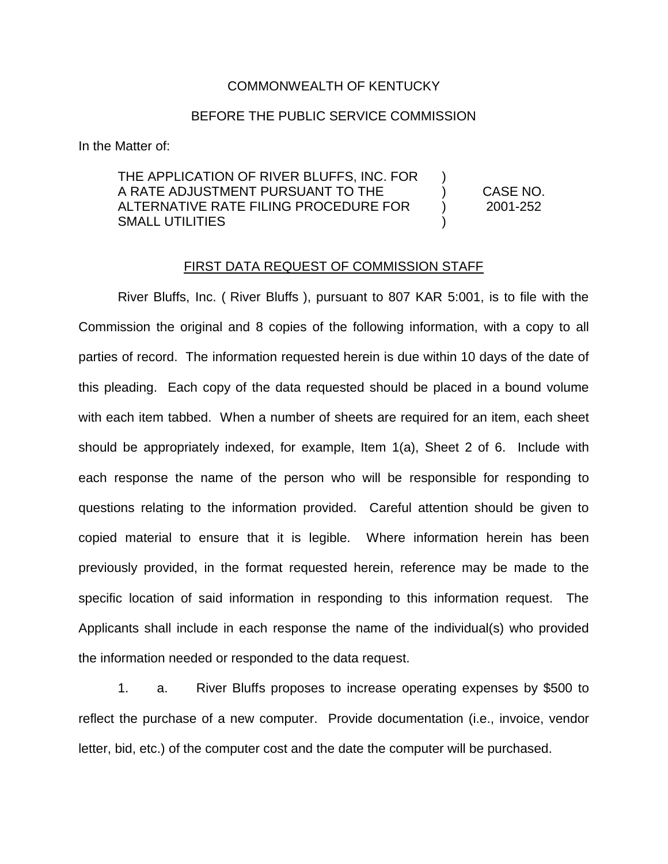## COMMONWEALTH OF KENTUCKY

## BEFORE THE PUBLIC SERVICE COMMISSION

In the Matter of:

THE APPLICATION OF RIVER BLUFFS, INC. FOR A RATE ADJUSTMENT PURSUANT TO THE ALTERNATIVE RATE FILING PROCEDURE FOR SMALL UTILITIES ) ) CASE NO. ) 2001-252 )

## FIRST DATA REQUEST OF COMMISSION STAFF

River Bluffs, Inc. ( River Bluffs ), pursuant to 807 KAR 5:001, is to file with the Commission the original and 8 copies of the following information, with a copy to all parties of record. The information requested herein is due within 10 days of the date of this pleading. Each copy of the data requested should be placed in a bound volume with each item tabbed. When a number of sheets are required for an item, each sheet should be appropriately indexed, for example, Item 1(a), Sheet 2 of 6. Include with each response the name of the person who will be responsible for responding to questions relating to the information provided. Careful attention should be given to copied material to ensure that it is legible. Where information herein has been previously provided, in the format requested herein, reference may be made to the specific location of said information in responding to this information request. The Applicants shall include in each response the name of the individual(s) who provided the information needed or responded to the data request.

1. a. River Bluffs proposes to increase operating expenses by \$500 to reflect the purchase of a new computer. Provide documentation (i.e., invoice, vendor letter, bid, etc.) of the computer cost and the date the computer will be purchased.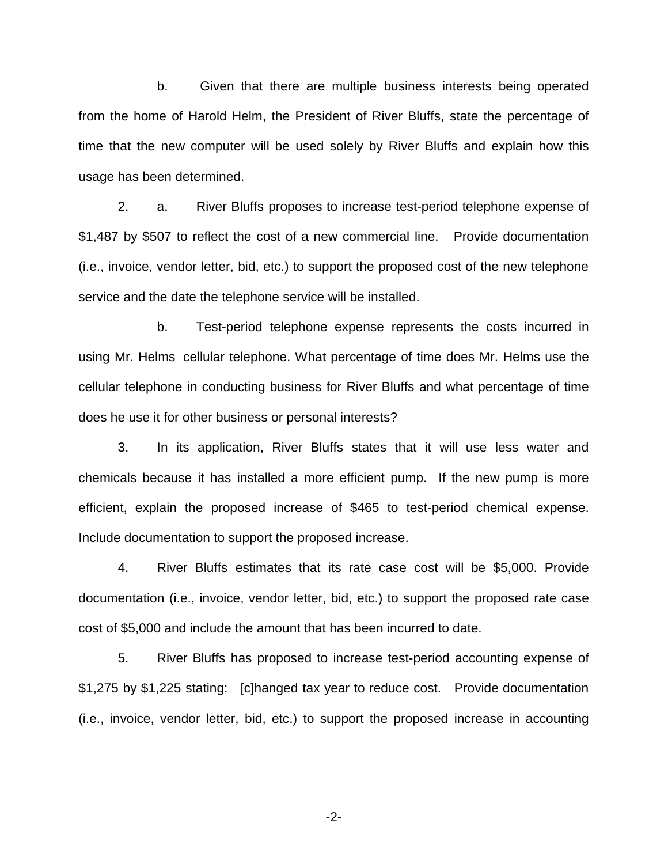b. Given that there are multiple business interests being operated from the home of Harold Helm, the President of River Bluffs, state the percentage of time that the new computer will be used solely by River Bluffs and explain how this usage has been determined.

2. a. River Bluffs proposes to increase test-period telephone expense of \$1,487 by \$507 to reflect the cost of a new commercial line. Provide documentation (i.e., invoice, vendor letter, bid, etc.) to support the proposed cost of the new telephone service and the date the telephone service will be installed.

b. Test-period telephone expense represents the costs incurred in using Mr. Helms cellular telephone. What percentage of time does Mr. Helms use the cellular telephone in conducting business for River Bluffs and what percentage of time does he use it for other business or personal interests?

3. In its application, River Bluffs states that it will use less water and chemicals because it has installed a more efficient pump. If the new pump is more efficient, explain the proposed increase of \$465 to test-period chemical expense. Include documentation to support the proposed increase.

4. River Bluffs estimates that its rate case cost will be \$5,000. Provide documentation (i.e., invoice, vendor letter, bid, etc.) to support the proposed rate case cost of \$5,000 and include the amount that has been incurred to date.

5. River Bluffs has proposed to increase test-period accounting expense of \$1,275 by \$1,225 stating: [c]hanged tax year to reduce cost. Provide documentation (i.e., invoice, vendor letter, bid, etc.) to support the proposed increase in accounting

-2-